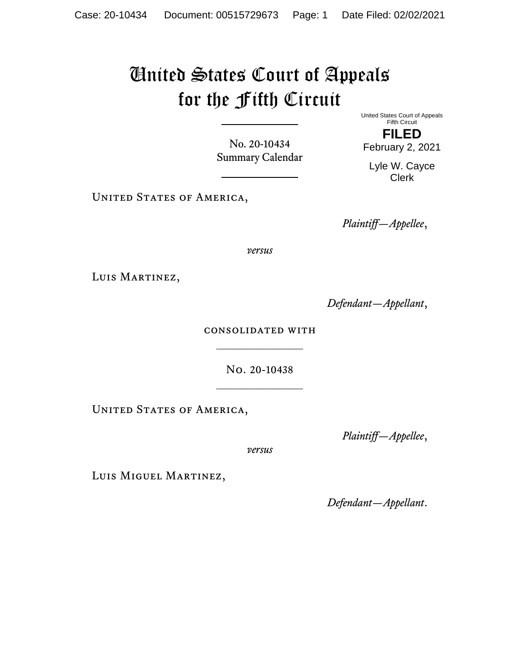## United States Court of Appeals for the Fifth Circuit

No. 20-10434 Summary Calendar United States Court of Appeals Fifth Circuit **FILED**

February 2, 2021

Lyle W. Cayce Clerk

UNITED STATES OF AMERICA,

*Plaintiff—Appellee*,

*versus*

LUIS MARTINEZ,

*Defendant—Appellant*,

consolidated with

No. 20-10438

UNITED STATES OF AMERICA,

*Plaintiff—Appellee*,

*versus*

Luis Miguel Martinez,

*Defendant—Appellant*.

 $\frac{1}{2}$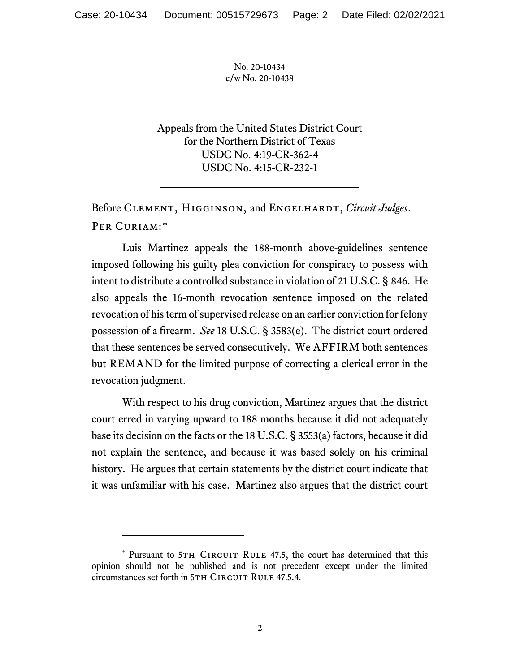Appeals from the United States District Court for the Northern District of Texas USDC No. 4:19-CR-362-4 USDC No. 4:15-CR-232-1

Before CLEMENT, HIGGINSON, and ENGELHARDT, *Circuit Judges*. Per Curiam:[\\*](#page-1-0)

Luis Martinez appeals the 188-month above-guidelines sentence imposed following his guilty plea conviction for conspiracy to possess with intent to distribute a controlled substance in violation of 21 U.S.C. § 846. He also appeals the 16-month revocation sentence imposed on the related revocation of his term of supervised release on an earlier conviction for felony possession of a firearm. *See* 18 U.S.C. § 3583(e). The district court ordered that these sentences be served consecutively. We AFFIRM both sentences but REMAND for the limited purpose of correcting a clerical error in the revocation judgment.

With respect to his drug conviction, Martinez argues that the district court erred in varying upward to 188 months because it did not adequately base its decision on the facts or the 18 U.S.C. § 3553(a) factors, because it did not explain the sentence, and because it was based solely on his criminal history. He argues that certain statements by the district court indicate that it was unfamiliar with his case. Martinez also argues that the district court

<span id="page-1-0"></span><sup>\*</sup> Pursuant to 5TH CIRCUIT RULE 47.5, the court has determined that this opinion should not be published and is not precedent except under the limited circumstances set forth in 5TH CIRCUIT RULE 47.5.4.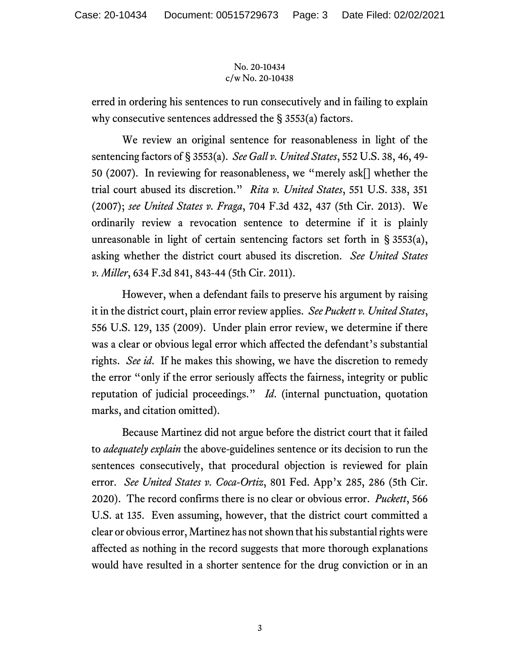erred in ordering his sentences to run consecutively and in failing to explain why consecutive sentences addressed the § 3553(a) factors.

We review an original sentence for reasonableness in light of the sentencing factors of § 3553(a). *See Gall v. United States*, 552 U.S. 38, 46, 49- 50 (2007). In reviewing for reasonableness, we "merely ask[] whether the trial court abused its discretion." *Rita v. United States*, 551 U.S. 338, 351 (2007); *see United States v. Fraga*, 704 F.3d 432, 437 (5th Cir. 2013). We ordinarily review a revocation sentence to determine if it is plainly unreasonable in light of certain sentencing factors set forth in § 3553(a), asking whether the district court abused its discretion. *See United States v. Miller*, 634 F.3d 841, 843-44 (5th Cir. 2011).

However, when a defendant fails to preserve his argument by raising it in the district court, plain error review applies. *See Puckett v. United States*, 556 U.S. 129, 135 (2009). Under plain error review, we determine if there was a clear or obvious legal error which affected the defendant's substantial rights. *See id*. If he makes this showing, we have the discretion to remedy the error "only if the error seriously affects the fairness, integrity or public reputation of judicial proceedings." *Id*. (internal punctuation, quotation marks, and citation omitted).

Because Martinez did not argue before the district court that it failed to *adequately explain* the above-guidelines sentence or its decision to run the sentences consecutively, that procedural objection is reviewed for plain error. *See United States v. Coca-Ortiz*, 801 Fed. App'x 285, 286 (5th Cir. 2020). The record confirms there is no clear or obvious error. *Puckett*, 566 U.S. at 135. Even assuming, however, that the district court committed a clear or obvious error, Martinez has not shown that his substantial rights were affected as nothing in the record suggests that more thorough explanations would have resulted in a shorter sentence for the drug conviction or in an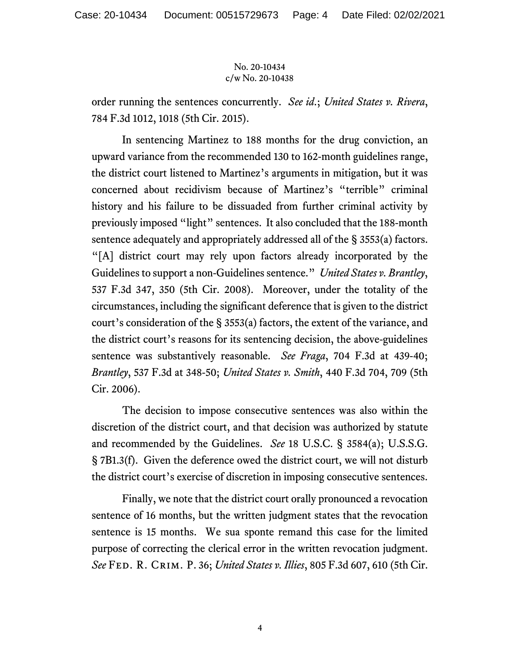order running the sentences concurrently. *See id*.; *United States v. Rivera*, 784 F.3d 1012, 1018 (5th Cir. 2015).

In sentencing Martinez to 188 months for the drug conviction, an upward variance from the recommended 130 to 162-month guidelines range, the district court listened to Martinez's arguments in mitigation, but it was concerned about recidivism because of Martinez's "terrible" criminal history and his failure to be dissuaded from further criminal activity by previously imposed "light" sentences. It also concluded that the 188-month sentence adequately and appropriately addressed all of the § 3553(a) factors. "[A] district court may rely upon factors already incorporated by the Guidelines to support a non-Guidelines sentence." *United States v. Brantley*, 537 F.3d 347, 350 (5th Cir. 2008). Moreover, under the totality of the circumstances, including the significant deference that is given to the district court's consideration of the § 3553(a) factors, the extent of the variance, and the district court's reasons for its sentencing decision, the above-guidelines sentence was substantively reasonable. *See Fraga*, 704 F.3d at 439-40; *Brantley*, 537 F.3d at 348-50; *United States v. Smith*, 440 F.3d 704, 709 (5th Cir. 2006).

The decision to impose consecutive sentences was also within the discretion of the district court, and that decision was authorized by statute and recommended by the Guidelines. *See* 18 U.S.C. § 3584(a); U.S.S.G. § 7B1.3(f). Given the deference owed the district court, we will not disturb the district court's exercise of discretion in imposing consecutive sentences.

Finally, we note that the district court orally pronounced a revocation sentence of 16 months, but the written judgment states that the revocation sentence is 15 months. We sua sponte remand this case for the limited purpose of correcting the clerical error in the written revocation judgment. *See* Fed. R. Crim. P. 36; *United States v. Illies*, 805 F.3d 607, 610 (5th Cir.